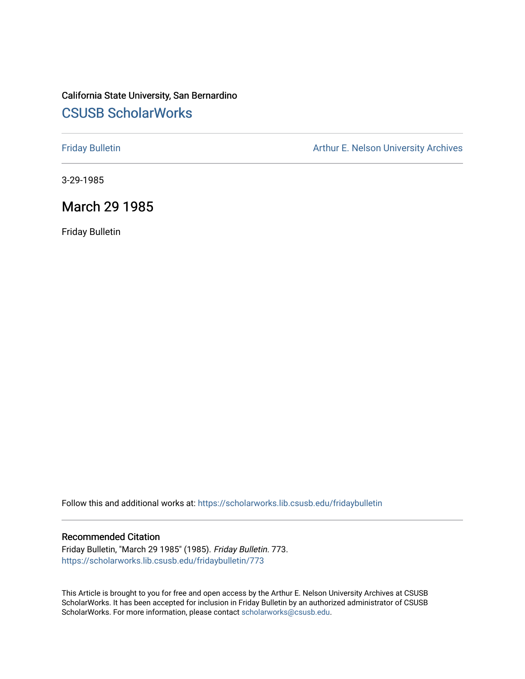# California State University, San Bernardino [CSUSB ScholarWorks](https://scholarworks.lib.csusb.edu/)

[Friday Bulletin](https://scholarworks.lib.csusb.edu/fridaybulletin) **Arthur E. Nelson University Archives** Arthur E. Nelson University Archives

3-29-1985

# March 29 1985

Friday Bulletin

Follow this and additional works at: [https://scholarworks.lib.csusb.edu/fridaybulletin](https://scholarworks.lib.csusb.edu/fridaybulletin?utm_source=scholarworks.lib.csusb.edu%2Ffridaybulletin%2F773&utm_medium=PDF&utm_campaign=PDFCoverPages)

#### Recommended Citation

Friday Bulletin, "March 29 1985" (1985). Friday Bulletin. 773. [https://scholarworks.lib.csusb.edu/fridaybulletin/773](https://scholarworks.lib.csusb.edu/fridaybulletin/773?utm_source=scholarworks.lib.csusb.edu%2Ffridaybulletin%2F773&utm_medium=PDF&utm_campaign=PDFCoverPages)

This Article is brought to you for free and open access by the Arthur E. Nelson University Archives at CSUSB ScholarWorks. It has been accepted for inclusion in Friday Bulletin by an authorized administrator of CSUSB ScholarWorks. For more information, please contact [scholarworks@csusb.edu.](mailto:scholarworks@csusb.edu)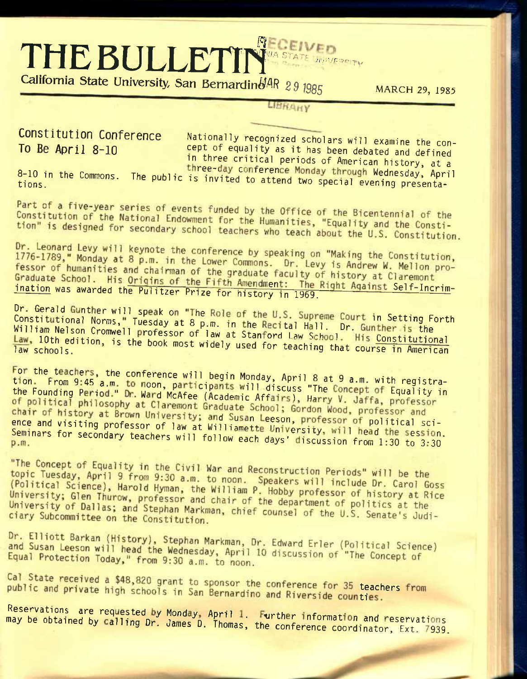# $THE BULLETIN$ <sup>MASTATE</sup> JENARGE *U UA STATE TO US OF TV*

California State University, San Bernardino<sup>14R</sup> 29 <sup>1985</sup>

*ms* march 29, 1985

## LIBRAHY

**Constitution Conference** Mationally recognized scholars will examine the con-<br>
To Be April 8-10 cept of equality as it has been debated and defined cept of equality as it has been debated and defined in three critical periods of American history, at a

8-10 in the Commons. The public is invited to attend two special evening presenta-

Part of a five-year series of events funded by the Office of the Bicentennial of the<br>Constitution of the National Endowment for the Humanities of the Bicentennial of the Constitution of the National Endowment for the Humanities, "Equality and the Constitution of the National Endowment for the Humanities, "Equality and the Consti-<br>tion" is designed for secondary school teachers who toget ab tion" is designed for secondary school teachers who teach about the U.S. Constitution.

Dr. Leonard Levy will keynote the conference by speaking on "Making the Constitution, 1776-1789," Monday at 8 p.m. in the Lower Commons. Dr. Levy is Andrew W. Mellon pro-<br>fessor of humanities and chairman of the graduate faculty is Andrew W. Mellon professor of humanities and chairman of the graduate faculty of history at Claremont Graduate School. His Origins of the Fifth Amendment: The Right Against Self-Incrim-<br>ination was awarded the Pulitzer Prize for history in 1969.

Dr. Gerald Gunther will speak on "The Role of the U.S. Supreme Court in Setting Forth<br>Constitutional Norms," Tuesday at 8 p.m. in the Recital Hall. Dr. Gunther is the<br>William Nelson Cromwell professor of law at Stanford La Constitutional Norms," Tuesday at 8 p.m. in the Recital Hall. Dr. Gunther is the Law, 10th edition, is the book most widely used for teaching that course in American

For the teachers, the conference will begin Monday, April 8 at 9 a.m. with registra-<br>tion. From 9:45 a.m. to noon, participants will discuss "The Concept of Equality in<br>the Founding Period." Dr. Ward McAfee (Academic Affai tion. From 9:45 a.m. to noon, participants will discuss "The Concept of Equality in<br>the Founding Period." Dr. Ward McAfee (Academic Affairs), Harry V. Jaffa, professor<br>of political philosophy at Claremont Graduate School; chair of history at Brown University; and Susan Leeson, professor of political sci-<br>ence and visiting professor of law at Williamette University, will head the session. Seminars for secondary teachers will follow each days' discussion from  $1:30$  to  $3:30$ 

"The Concept of Equality in the Civil War and Reconstruction Periods" will be the<br>topic Tuesday, April 9 from 9:30 a.m. to noon. Speckers to allege will be the topic Tuesday, April 9 from 9:30 a.m. to noon. Speakers will include Dr. Carol Goss<br>(Political Science), Harold Hyman, the William P. Hobby professional Or. Carol Goss (Political Science), Harold Hyman, the William P. Hobby professor of history at Rice<br>University; Glen Thurow, professor and chair of the departments of history at Rice University; Glen Thurow, professor and chair of the department of politics at the<br>University of Dallas: and Stephan Markman, chief compartment of politics at the University of Dallas; and Stephan Markman, chief counsel of the U.S. Senate's Judi-<br>ciary Subcommittee on the Constitution ciary Subcommittee on the Constitution.

Dr. Elliott Barkan (History), Stephan Markman, Dr. Edward Erler (Political Science) and Susan Leeson will head the Wednesday, April 10 discussion of "The Concept of<br>Equal Protection Today," from 9:30 a m +0 noon Equal Protection Today," from 9:30 a.m. to noon.

Cal State received a \$48,820 grant to sponsor the conference for 35 teachers from<br>public and private high schools in San Bernardino and Riverside counties.<br>Reservations are requested by Monday, April 1. Further information

may be obtained by calling Dr. James D. Thomas, the conference coordinator, Ext. 7939.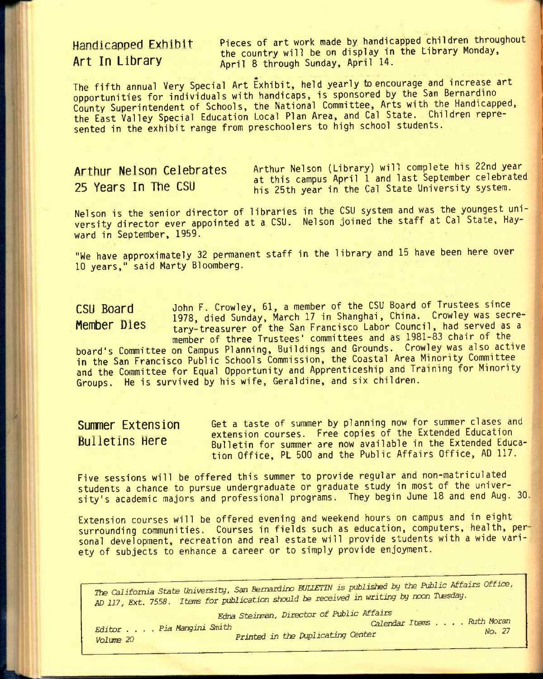Handicapped Exhibit Pieces of art work made by handicapped children throughout the country will be on display in the Library Monday, Art In Library **April 8 through Sunday, April 14.** 

The fifth annual Very Special Art Exhibit, held yearly to encourage and increase art opportunities for individuals with handicaps, is sponsored by the San Bernardino County Superintendent of Schools, the National Committee, Arts with the Handicapped, the East Valley Special Education Local Plan Area, and Cal State. Children represented in the exhibit range from preschoolers to high school students.

Arthur Nelson Celebrates Arthur Nelson (Library) will complete his 22nd year at this campus April 1 and last September celebrated 25 Years In The CSU **1999** his 25th year in the Cal State University system.

Nelson is the senior director of libraries in the CSU system and was the youngest university director ever appointed at a CSU. Nelson joined the staff at Cal State, Hayward in September, 1959.

"We have approximately 32 permanent staff in the library and 15 have been here over 10 years," said Marty Bloomberg.

CSU Board John F. Crowley, 61, a member of the CSU Board of Trustees since 1978, died Sunday, March 17 in Shanghai, China. Crowley was secre-Member Dies tary-treasurer of the San Francisco Labor Council, had served as a member of three Trustees' committees and as 1981-83 chair of the board's Committee on Campus Planning, Buildings and Grounds. Crowley was also active in the San Francisco Public Schools Commission, the Coastal Area Minority Committee and the Committee for Equal Opportunity and Apprenticeship and Training for Minority Groups. He is survived by his wife, Geraldine, and six children.

Summer Extension Get a taste of summer by planning now for summer clases and extension courses. Free copies of the Extended Education Bulletins Here Bulletin for summer are now available in the Extended Education Office, PL 500 and the Public Affairs Office, AD 117.

Five sessions will be offered this summer to provide regular and non-matriculated students a chance to pursue undergraduate or graduate study in most of the university's academic majors and professional programs. They begin June 18 and end Aug. 30

Extension courses will be offered evening and weekend hours on campus and in eight surrounding communities. Courses in fields such as education, computers, health, per sonal development, recreation and real estate will provide students with a wide variety of subjects to enhance a career or to simply provide enjoyment.

*The California State University. San Bemardii^ BUIIETIN is published by tbe Public Mfairs Office. AD 117, Ext. 7558. Items for publication should be received m writing by noon Tuesday.* 

*Edna Steiiman, Director of Public Affairs rtems for publication should be firective*<br>*Edna Steinman, Director of Public Affairs*<br>Calendar Items .... Ruth Moran *Calendar Items* .... Ruth Moran *Editor .... Pi^ Mangini Smith .• r. 4. No 27 VoliMB 20 Printed in tire Duplicating Center*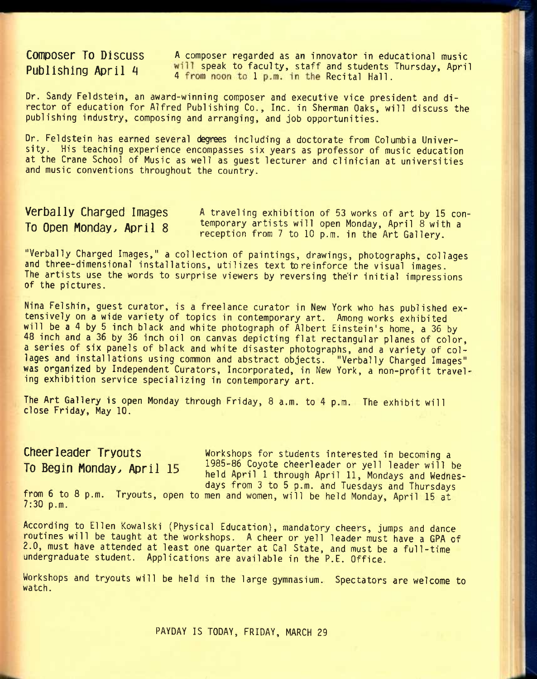**COMPOSER TO Discuss A composer regarded as an innovator in educational music** Publishing April 4 will speak to faculty, staff and students Thursday, April 4 from noon to 1 p.m. in the Recital Hall.

Dr. Sandy Feldstein, an award-winning composer and executive vice president and director of education for Alfred Publishing Co., Inc. in Sherman Oaks, will discuss the publishing industry, composing and arranging, and job opportunities.

Dr. Feldstein has earned several degrees including a doctorate from Columbia University. His teaching experience encompasses six years as professor of music education at the Crane School of Music as well as guest lecturer and clinician at universities and music conventions throughout the country.

**Verbally Charged Images A** traveling exhibition of **53** works of art by 15 con-To Open Monday, April 8 temporary artists will open Monday, April 8 with a reception from 7 to 10 p.m. in the Art Gallery.

"Verbally Charged Images," a collection of paintings, drawings, photographs, collages and three-dimensional installations, utilizes text toreinforce the visual images. The artists use the words to surprise viewers by reversing the'ir initial impressions of the pictures.

Nina Felshin, guest curator, is a freelance curator in New York who has published extensively on a wide variety of topics in contemporary art. Among works exhibited will be a 4 by 5 inch black and white photograph of Albert Einstein's home, a 36 by 48 inch and a 36 by 36 inch oil on canvas depicting flat rectangular planes of color, a series of six panels of black and white disaster photographs, and a variety of collages and installations using common and abstract objects. "Verbally Charged Images" was organized by Independent Curators, Incorporated, in New York, a non-profit traveling exhibition service specializing in contemporary art.

The Art Gallery is open Monday through Friday, 8 a.m. to 4 p.m. The exhibit will close Friday, May 10.

**Cheerleader Tryouts** workshops for students interested in becoming a To Begin Mondav, April 15 1985-86 Coyote cheerleader or yell leader will be held April 1 through April 11, Mondays and Wednesdays from 3 to 5 p.m. and Tuesdays and Thursdays

from 6 to 8 p.m. Tryouts, open to men and women, will be held Monday, April 15 at 7:30 p.m.

According to Ellen Kowalski (Physical Education), mandatory cheers, jumps and dance routines will be taught at the workshops. A cheer or yell leader must have a GPA of 2.0, must have attended at least one quarter at Cal State, and must be a full-time undergraduate student. Applications are available in the P.E. Office.

Workshops and tryouts will be held in the large gymnasium. Spectators are welcome to watch.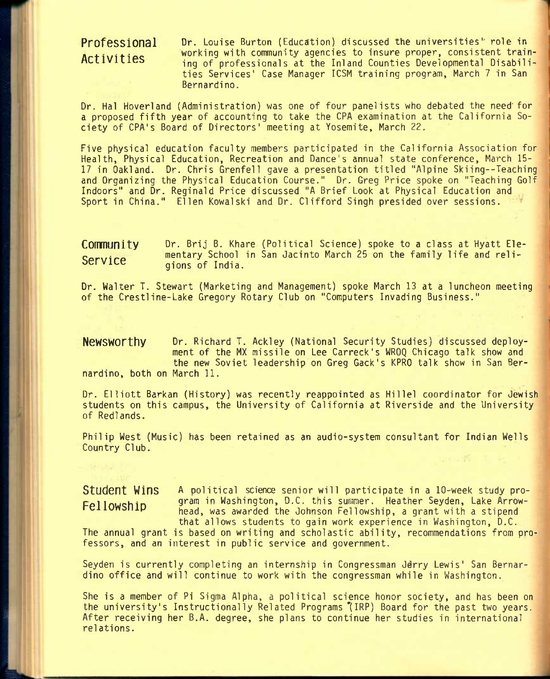# **Professional Activities**

Dr. Louise Burton (Education) discussed the universities'' role in working with community agencies to insure proper, consistent training of professionals at the Inland Counties Developmental Disabilities Services' Case Manager ICSM training program, March 7 in San Bernardino.

Dr. Hal Hoverland (Administration) was one of four panelists who debated the need' for a proposed fifth year of accounting to take the CPA examination at the California Society of CPA's Board of Directors' meeting at Yosemite, March 22.

Five physical education faculty members participated in the California Association for Health, Physical Education, Recreation and Dance's annual state conference, March 15- 17 in Oakland. Dr. Chris Grenfell gave a presentation titled "Alpine Skiing--Teaching and Organizing the Physical Education Course." Dr. Greg Price spoke on "Teaching Golf Indoors" and Dr. Reginald Price discussed "A Brief Look at Physical Education and Sport in China." Ellen Kowalski and Dr. Clifford Singh presided over sessions.

Dr. Brij B. Khare (Political Science) spoke to a class at Hyatt Elementary School in San Jacinto March 25 on the family life and religions of India. **Community Service** 

Dr. Walter T. Stewart (Marketing and Management) spoke March 13 at a luncheon meeting of the Crestline-Lake Gregory Rotary Club on "Computers Invading Business."

**NGWSWOrthy** Dr. Richard T. Ackley (National Security Studies) discussed deployment of the MX missile on Lee Carreck's WROQ Chicago talk show and the new Soviet leadership on Greg Gack's KPRO talk show in San Bernardino, both on March 11.

Dr. Elliott Barkan (History) was recently reappointed as Hillel coordinator for Jewish students on this campus, the University of California at Riverside and the University of Redlands.

Philip West (Music) has been retained as an audio-system consultant for Indian Wells Country Club.

# **Student Wins Fellowship**

A political science senior will participate in a 10-week study program in Washington, D.C. this summer. Heather Seyden, Lake Arrowhead, was awarded the Johnson Fellowship, a grant with a stipend that allows students to gain work experience in Washington, D.C.

not all it was

The annual grant is based on writing and scholastic ability, recommendations from professors, and an interest in public service and government.

Seyden is currently completing an internship in Congressman Jdrry Lewis' San Bernardino office and will continue to work with the congressman while in Washington.

She is a member of Pi Sigma Alpha, a political science honor society, and has been on the university's Instructionally Related Programs '(IRP) Board for the past two years. After receiving her B.A. degree, she plans to continue her studies in international relations.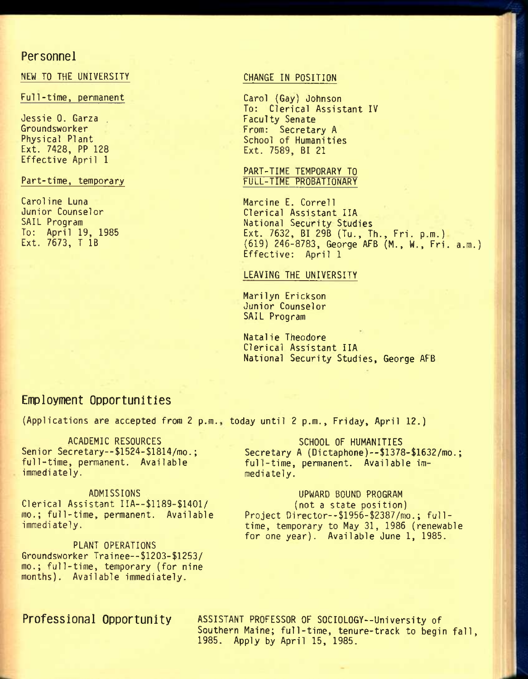#### **Personnel**

NEW TO THE UNIVERSITY CHANGE IN POSITION

Full-time, permanent Carol (Gay) Johnson

Jessie O. Garza ,<br>Groundsworker Ext. 7428, PP 128 Effective April 1

Caroline Luna Junior Counselor SAIL Program To: April 19, 1985 Ext. 7673, T IB

To: Clerical Assistant IV Groundsworker From: Secretary A<br>Physical Plant From: School of Humanitie School of Humanities<br>Ext. 7589, BI 21

PART-TIME TEMPORARY TO Part-time, temporary entertainment of the FULL-TIME PROBATIONARY

> Marcine E. Correll Clerical Assistant IIA National Security Studies Ext. 7632, BI 29B (Tu., Th., Fri. p.m.) (619) 246-8783, George AFB (M., W., Fri. a.m.) Effective: April 1

#### LEAVING THE UNIVERSITY

Marilyn Erickson Junior Counselor SAIL Program

Natalie Theodore Clerical Assistant IIA National Security Studies, George AFB

### **Employment Opportunities**

(Applications are accepted from 2 p.m. today until 2 p.m., Friday, April 12.)

ACADEMIC RESOURCES Senior Secretary--\$1524-\$1814/mo.; full-time, permanent. Available immedi ately.

ADMISSIONS Clerical Assistant IIA--\$1189-\$1401/ mo.; full-time, permanent. Available immediately.

PLANT OPERATIONS Groundsworker Trainee--\$1203-\$1253/ mo.; full-time, temporary (for nine months). Available immediately.

SCHOOL OF HUMANITIES Secretary A (Dictaphone)--\$1378-\$1632/mo.; full-time, permanent. Available immediately.

UPWARD BOUND PROGRAM (not a state position) Project Director--\$1956-\$2387/mo.; fulltime, temporary to May 31, 1986 (renewable for one year). Available June 1, 1985.

**Professional Opportunity ASSISTANT PROFESSOR OF socioLOGY**-university of Southern Maine; full-time, tenure-track to begin fall, 1985. Apply by April 15, 1985.